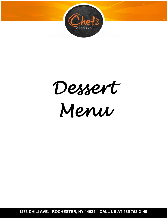

*Dessert Menu* 

**1273 CHILI AVE. ROCHESTER, NY 14624 CALL US AT 585 752-2149**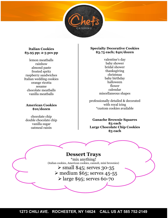

#### **Italian Cookies \$3.95 pp; 2-3 pcs pp**

lemon meatballs rainbow almond paste frosted spritz raspberry sandwiches Italian wedding cookies orange ricotta sesame chocolate meatballs vanilla meatballs

#### **American Cookies \$10/dozen**

chocolate chip double chocolate chip vanilla sugar oatmeal raisin

#### **Specialty Decorative Cookies \$3.75 each; \$40/dozen**

valentine's day baby shower bridal shower thanksgiving christmas baby birthday halloween flower calendar miscellaneous shapes

professionally detailed & decorated with royal icing \*custom cookies available

**Ganache Brownie Squares \$3 each Large Chocolate Chip Cookies \$3 each**

### **Dessert Trays**

\*mix anything! (italian cookies, American cookies, cannoli, mini brownies)  $\ge$  small \$45; serves 30-35  $\geq$  medium \$65; serves 45-55  $\geq$  large \$95; serves 60-70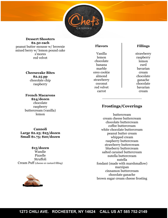

**Dessert Shooters \$2.50 each** peanut butter mousse w/ brownie mixed berry w/ lemon pound cake s'mores red velvet

**Cheesecake Bites**

**\$2.25 pp** chocolate chip raspberry

**French Macarons \$24/dozen** chocolate raspberry buttercream (vanilla) lemon

**Cannoli Large \$2.25; \$25/dozen Small \$1.75; \$20/dozen**

**\$15/dozen** Wandie Pizzelle Struffoli Cream Puff (cheese or custard filling)



#### **Flavors**

Vanilla lemon chocolate banana marble oreo cookie almond strawberry coconut red velvet carrot

#### **Fillings**

strawberry raspberry lemon curd bavarian cream chocolate ganache chocolate bavarian cream

#### **Frostings/Coverings**

buttercream cream cheese buttercream chocolate buttercream coffee buttercream white chocolate buttercream peanut butter cream whipped cream raspberry buttercream strawberry buttercream blueberry buttercream salted caramel buttercream nutella buttercream nutella fondant (made with marshmallow) marzipan cinnamon buttercream chocolate ganache brown sugar cream cheese frosting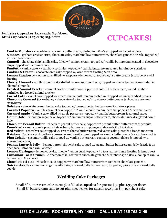

#### **Full Size Cupcakes** \$2.99 each; \$35/dozen **Mini Cupcakes** \$1.25 each; \$15/dozen

# **CUPCAKES!**

**Cookie Monster -** chocolate cake, vanilla buttercream, coated in m&m's & topped w/ a cookie piece **S'mores -** graham cracker crust, chocolate cake, marshmallow buttercream, chocolate ganache drizzle, topped w/ an open face s'more

**Cannoli -** chocolate chip vanilla cake, filled w/ cannoli cream, topped w/ vanilla buttercream coated in chocolate chips topped with a mini cannoli

**Funfetti -** vanilla cake w/ rainbow sprinkles, topped w/ vanilla buttercream coated in rainbow sprinkles **Cookies & Cream -** chocolate oreo cake topped w/ oreo cream frosting & an oreo

**Lemon Raspberry -** lemon cake, filled w/ raspberry/lemon curd, topped w/ a buttercream & raspberry swirl frosting

**Cherry Almond -** vanilla almond cake stuffed w/ maraschino cherry, topped w/ cherry buttercream coated in slivered almonds

**Frosted Animal Cracker -** animal cracker vanilla cake, topped w/ colorful buttercream, round rainbow sprinkles & a frosted animal cracker

**Carrot Cake -** carrot cake topped w/ cream cheese buttercream coated in chopped walnuts/candied pecans **Chocolate Covered Strawberry -** chocolate cake topped w/ strawberry buttercream & chocolate covered strawberry

**Snickers -** chocolate peanut butter cake topped w/ peanut butter buttercream & snickers pieces

**Caramel Popcorn -** vanilla caramel cake topped w/ vanilla buttercream, caramel popcorn & caramel sauce **Caramel Apple -** Vanilla cake, filled w/ apple preserves, topped w/ vanilla buttercream & caramel sauce **Donut Hole -** cinnamon sugar cake, topped w/ cinnamon sugar buttercream, chocolate sauce & a glazed donut hole

**Chocolate Peanut Butter -** chocolate peanut butter cake, topped w/ peanut butter buttercream & peanuts **Pom-Kiwi -** vanilla cake topped w/ strawberry buttercream, pomegranate seeds & a kiwi slice

**Red Velvet -** red velvet cake topped w/ cream cheese buttercream, red velvet cake pieces & a french macaron **Rainbow Cookie -** pink, yellow & green layered vanilla cake topped w/ vanilla buttercream & a rainbow cookie **Pina Colada -** coconut vanilla cake topped w/ vanilla buttercream coated in coconut flakes & topped w/ a maraschino cherry

**Peanut Butter & Jelly -** Peanut butter jelly swirl cake topped w/ peanut butter buttercream, jelly drizzle & an open face PB&J on a vanilla wafer

**Lemon Meringue -** lemon cupcake, filled w/ lemon curd, topped w/ a toasted meringue frosting & lemon zest **Cinnamon Toast Crunch -** cinnamon cake, coated in chocolate ganache & rainbow sprinkles, a dollop of vanilla buttercream & a cherry

**Chocolate Hi-Hat -** chocolate cake, topped w/ marshmallow buttercream coated in chocolate ganache **Snickerdoodle -** cinnamon sugar vanilla cake, snickerdoodle buttercream, topped w/ piece of a snickerdoodle cookie

## **Wedding Cake Packages**

Small 8" buttercream cake to cut plus full size cupcakes for guests; \$50 plus \$35 per dozen Small 8" buttercream cake to cut plus sheet cakes for guests; \$50 plus \$95 per sheet cake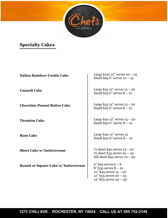

# **Specialty Cakes**

| <b>Italian Rainbow Cookie Cake</b>  | Large $$150 12"$ serves $20 - 25$<br>Small $$956$ " serves $10 - 15$                                                                              |
|-------------------------------------|---------------------------------------------------------------------------------------------------------------------------------------------------|
| <b>Cannoli Cake</b>                 | Large $$45 12"$ serves $15 - 20$<br>Small $$256"$ serves $8 - 10$                                                                                 |
| <b>Chocolate Peanut Butter Cake</b> | Large $$35 12"$ serves $15 - 20$<br>Small $$256"$ serves $8 - 10$                                                                                 |
| <b>Tiramisu Cake</b>                | Large \$40 $12$ " serves $15 - 20$<br>Small $$306"$ serves $8 - 10$                                                                               |
| <b>Rum Cake</b>                     | Large \$40 12" serves 15<br>Small $$306"$ serves $8 - 10$                                                                                         |
| <b>Sheet Cake w/ buttercream</b>    | $\frac{1}{4}$ sheet \$40 serves $15 - 20$<br>$\frac{1}{2}$ sheet \$55 serves 20 - 25<br>full sheet $$95$ serves $70 - 90$                         |
| Round or Square Cake w/ buttercream | $6" $25$ serves $6 - 8$<br>$8" $35$ serves $8 - 10$<br>$10''$ \$45 serves $15 - 20$<br>$12" $55$ serves $20 - 25$<br>$14''$ \$65 serves $30 - 40$ |

**1273 CHILI AVE. ROCHESTER, NY 14624 CALL US AT 585 752-2149**